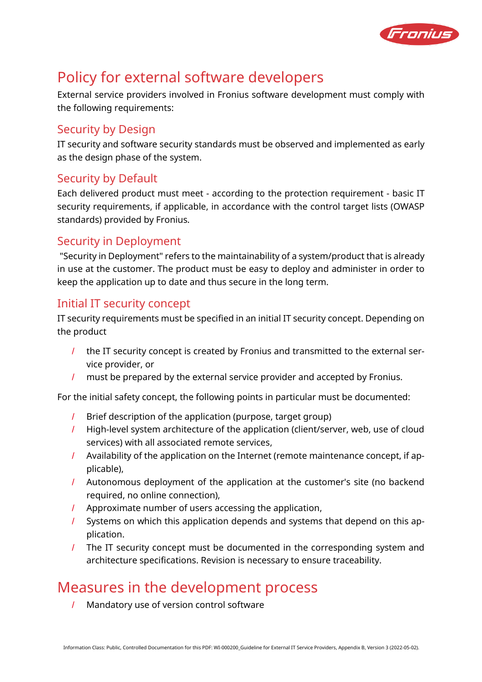

# Policy for external software developers

External service providers involved in Fronius software development must comply with the following requirements:

## Security by Design

IT security and software security standards must be observed and implemented as early as the design phase of the system.

## Security by Default

Each delivered product must meet - according to the protection requirement - basic IT security requirements, if applicable, in accordance with the control target lists (OWASP standards) provided by Fronius.

### Security in Deployment

"Security in Deployment" refers to the maintainability of a system/product that is already in use at the customer. The product must be easy to deploy and administer in order to keep the application up to date and thus secure in the long term.

### Initial IT security concept

IT security requirements must be specified in an initial IT security concept. Depending on the product

- / the IT security concept is created by Fronius and transmitted to the external service provider, or
- / must be prepared by the external service provider and accepted by Fronius.

For the initial safety concept, the following points in particular must be documented:

- / Brief description of the application (purpose, target group)
- / High-level system architecture of the application (client/server, web, use of cloud services) with all associated remote services,
- / Availability of the application on the Internet (remote maintenance concept, if applicable),
- / Autonomous deployment of the application at the customer's site (no backend required, no online connection),
- / Approximate number of users accessing the application,
- / Systems on which this application depends and systems that depend on this application.
- / The IT security concept must be documented in the corresponding system and architecture specifications. Revision is necessary to ensure traceability.

## Measures in the development process

/ Mandatory use of version control software